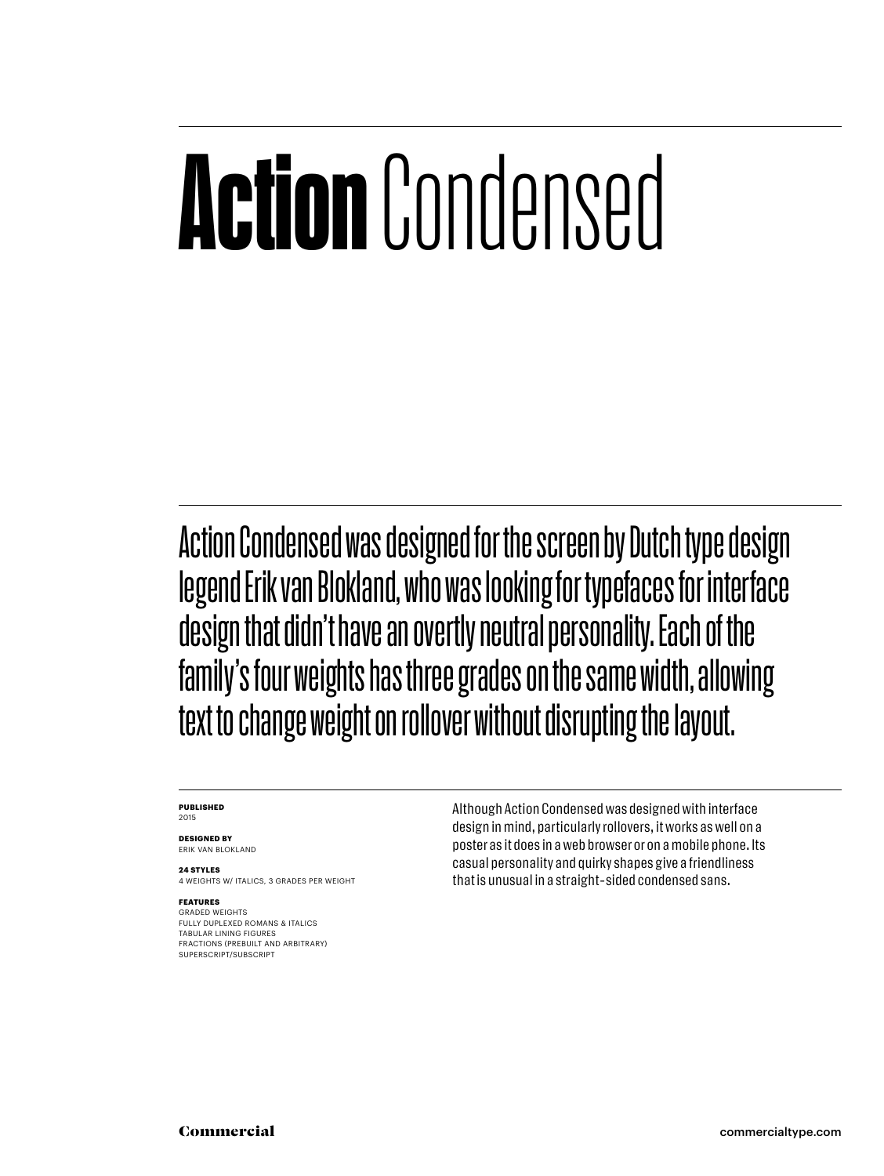# **Action**Condensed

Action Condensed was designed for the screen by Dutch type design legend Erik van Blokland, who was looking for typefaces for interface design that didn't have an overtly neutral personality. Each of the family 's four weights has three grades on the same width, allowing text to change weight on rollover without disrupting the layout .

#### **PUBLISHED** 2015

**DESIGNED BY**

ERIK VAN BLOKLAND

**24 STYLES** 4 WEIGHTS W/ ITALICS, 3 GRADES PER WEIGHT

#### **FEATURES**

GRADED WEIGHTS FULLY DUPLEXED ROMANS & ITALICS TABULAR LINING FIGURES FRACTIONS (PREBUILT AND ARBITRARY) SUPERSCRIPT/SUBSCRIPT

Although Action Condensed was designed with interface design in mind, particularly rollovers, it works as well on a poster as it does in a web browser or on a mobile phone. Its casual personality and quirky shapes give a friendliness that is unusual in a straight-sided condensed sans.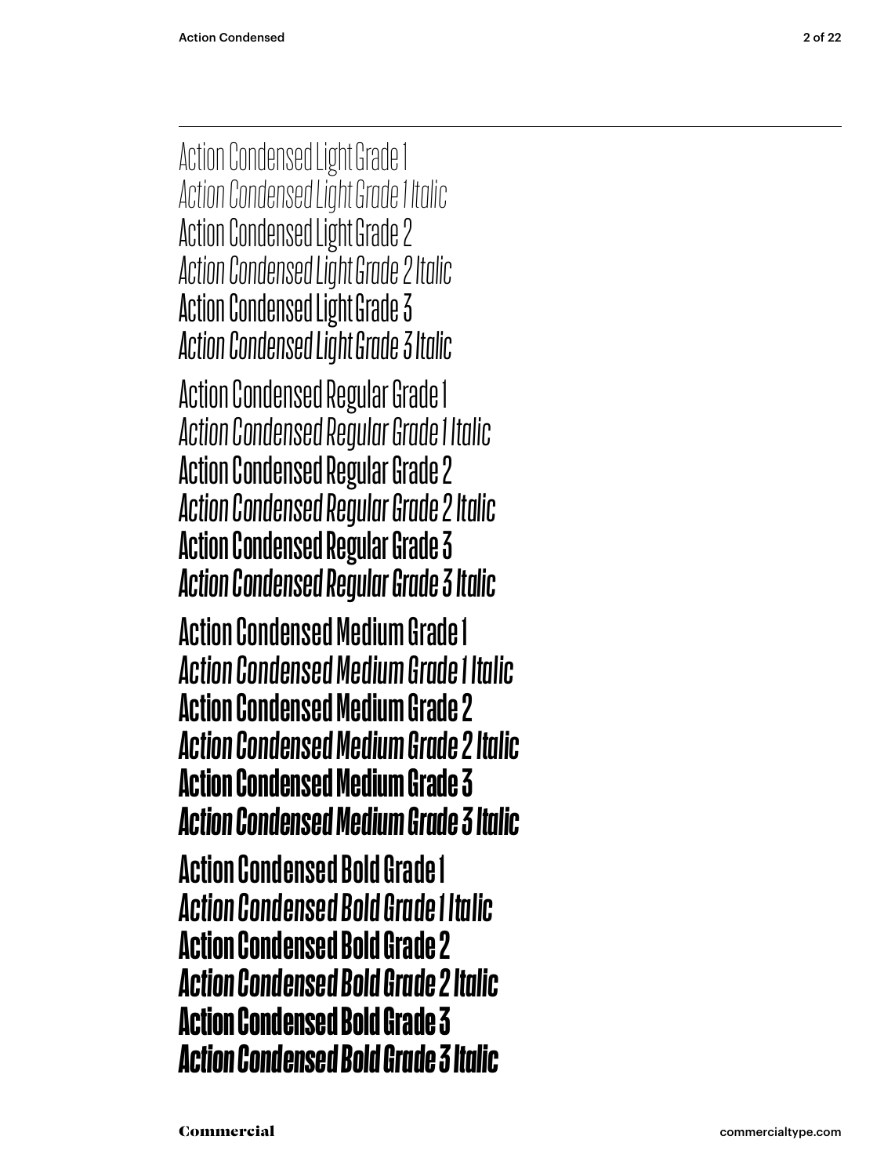Action Condensed Light Grade 1 *Action Condensed Light Grade 1 Italic* Action Condensed Light Grade 2 *Action Condensed Light Grade 2 Italic* Action Condensed Light Grade 3 *Action Condensed Light Grade 3 Italic* Action Condensed Regular Grade 1 *Action Condensed Regular Grade 1 Italic* Action Condensed Regular Grade 2 *Action Condensed Regular Grade 2 Italic* Action Condensed Regular Grade 3 *Action Condensed Regular Grade 3 Italic* Action Condensed Medium Grade 1 *Action Condensed Medium Grade 1 Italic* Action Condensed Medium Grade 2 *Action Condensed Medium Grade 2 Italic* Action Condensed Medium Grade 3 *Action Condensed Medium Grade 3 Italic* **Action Condensed Bold Grade 1** *Action Condensed Bold Grade 1 Italic* **Action Condensed Bold Grade 2** *Action Condensed Bold Grade 2 Italic* **Action Condensed Bold Grade 3** *Action Condensed Bold Grade 3 Italic*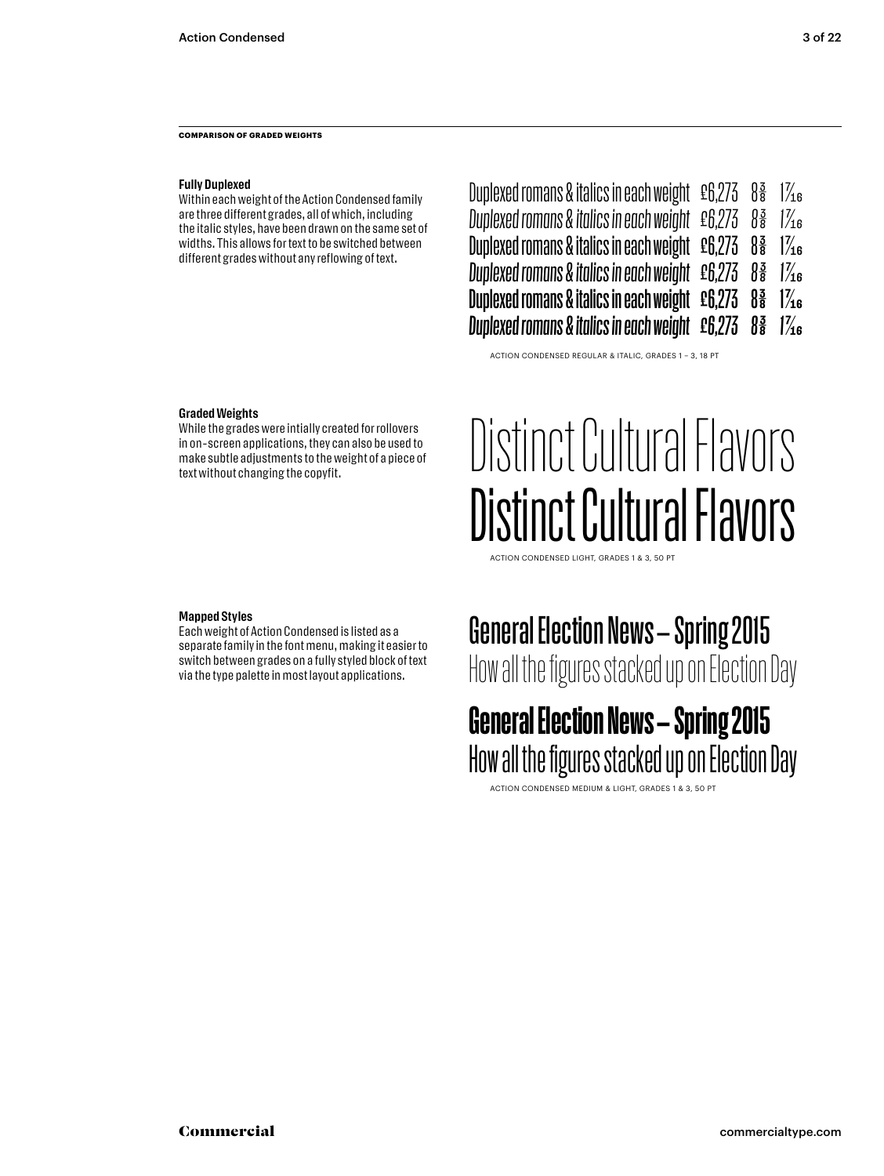**COMPARISON OF GRADED WEIGHTS**

#### **Fully Duplexed**

Within each weight of the Action Condensed family are three different grades, all of which, including the italic styles, have been drawn on the same set of widths. This allows for text to be switched between different grades without any reflowing of text.

| Duplexed romans & italics in each weight $\,$ £6,273 $\,$      | $\frac{3}{8}$ | $\frac{7}{16}$ |
|----------------------------------------------------------------|---------------|----------------|
| Duplexed romans & italics in each weight £6,273                | $\frac{3}{8}$ | $\frac{7}{16}$ |
| Duplexed romans & italics in each weight £6,273                | $\frac{3}{8}$ | $\frac{7}{16}$ |
|                                                                | $\frac{3}{8}$ | $\frac{7}{16}$ |
| Duplexed romans & italics in each weight $\,$ £6,273 $\,$      | $\frac{3}{8}$ | $\frac{7}{4}$  |
| Duplexed romans & italics in each weight £6,273 8 <sup>3</sup> |               | 1/16           |

ACTION CONDENSED REGULAR & ITALIC, GRADES 1 – 3, 18 PT

#### **Graded Weights**

While the grades were intially created for rollovers in on-screen applications, they can also be used to make subtle adjustments to the weight of a piece of text without changing the copyfit.

### Distinct Cultural Flavors Distinct Cultural Flavors

ACTION CONDENSED LIGHT, GRADES 1 & 3, 50 PT

#### **Mapped Styles**

Each weight of Action Condensed is listed as a separate family in the font menu, making it easier to switch between grades on a fully styled block of text via the type palette in most layout applications.

### General Election News – Spring 2015

How all the figures stacked up on Election Day

#### General Election News – Spring 2015 How all the figures stacked up on Election Day

ACTION CONDENSED MEDIUM & LIGHT, GRADES 1 & 3, 50 PT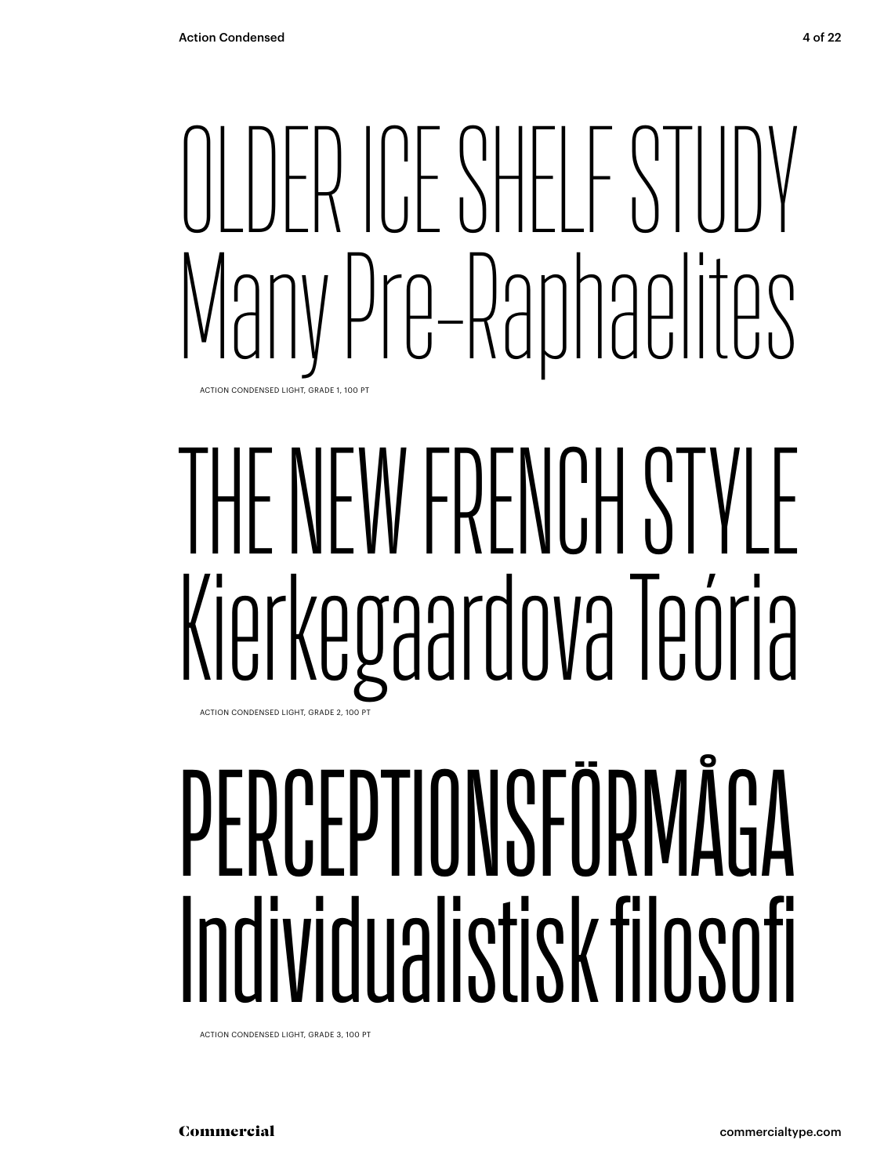## $\begin{bmatrix} \begin{bmatrix} 1 & 1 \\ 1 & 1 \end{bmatrix} & \begin{bmatrix} 1 & 1 \\ 1 & 1 \end{bmatrix} & \begin{bmatrix} 1 & 1 \\ 1 & 1 \end{bmatrix} & \begin{bmatrix} 1 & 1 \\ 1 & 1 \end{bmatrix} & \begin{bmatrix} 1 & 1 \\ 1 & 1 \end{bmatrix} & \begin{bmatrix} 1 & 1 \\ 1 & 1 \end{bmatrix} & \begin{bmatrix} 1 & 1 \\ 1 & 1 \end{bmatrix} & \begin{bmatrix} 1 & 1 \\ 1 & 1 \end{bmatrix} & \begin{bmatrix} 1 & 1 \\ 1 & 1 \end{bmatrix$ Many Pre-Raphaelites ACTION CONDENSED LIGHT, GRADE 1, 100 PT

### THE NEW FRENCH STYLE Kierkegaardova Teória ACTION CONDENSED LIGHT, GRADE 2, 100 PT

# PERCEPTIONSFÖRMÅGA Individualistisk filosofi

ACTION CONDENSED LIGHT, GRADE 3, 100 PT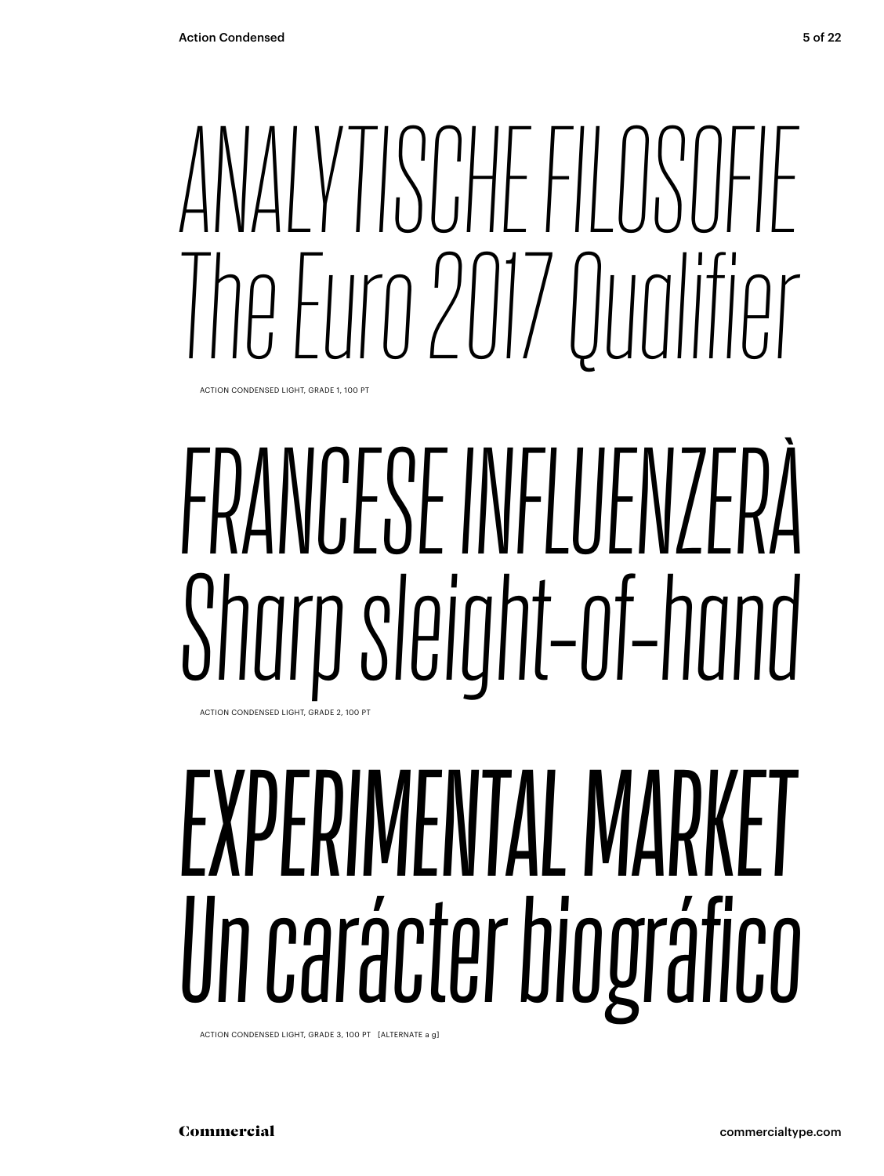# *ANALYTISCHE FILOSOFIE The Euro 2017 Qualifier*

ACTION CONDENSED LIGHT, GRADE 1, 100 PT

# *FRANCESE INFLUENZERÀ Sharp sleight-of-hand*

ACTION CONDENSED LIGHT, GRADE 2, 100 PT

# *EXPERIMENTAL MARKET Un carácter biográfico*

ACTION CONDENSED LIGHT, GRADE 3, 100 PT [ALTERNATE a g]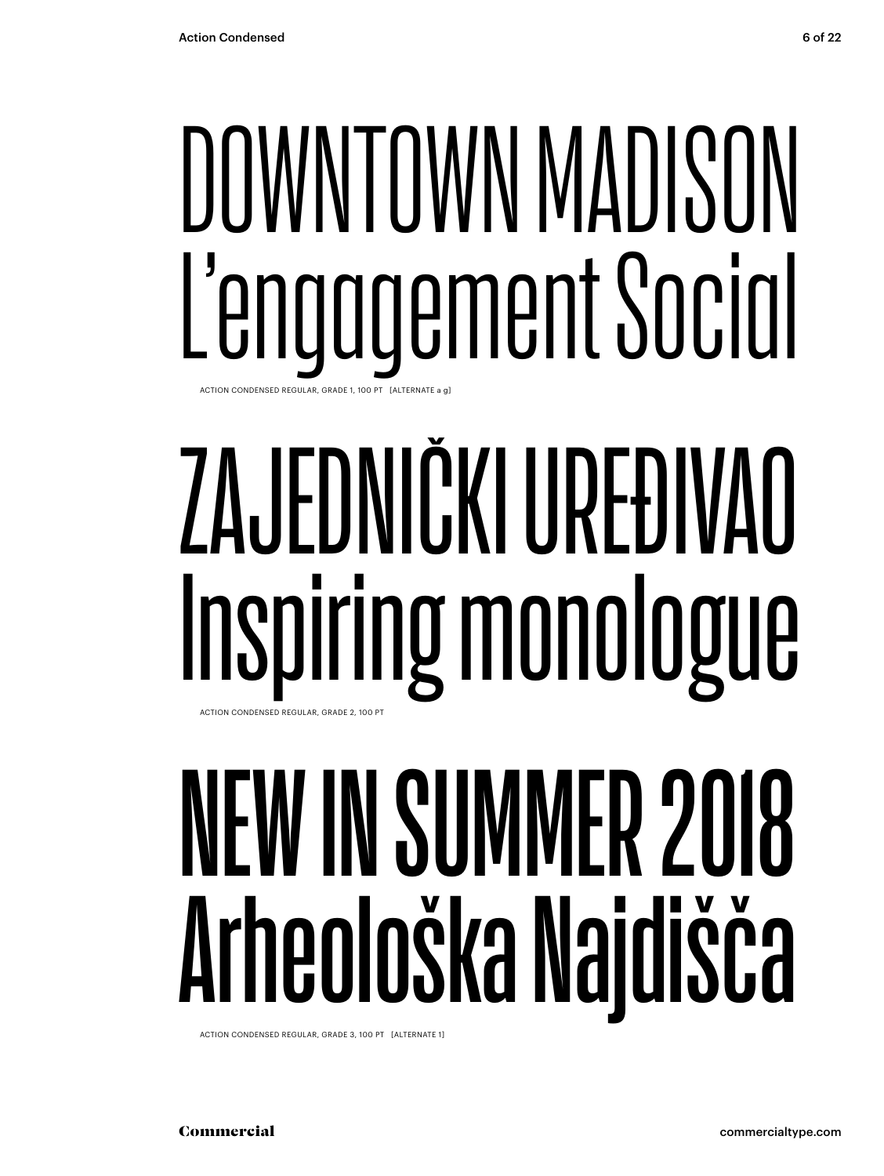## DOWNTOWN MADISON L'engagement Social ACTION CONDENSED REGULAR, GRADE 1, 100 PT [ALTERNATE a g]

## ZAJEDNIČKI UREĐIVAO Inspiring monologue ACTION CONDENSED REGULAR, GRADE 2, 100 PT

# NEW IN SUMMER 201 Arheološka Najdišča

ACTION CONDENSED REGULAR, GRADE 3, 100 PT [ALTERNATE 1]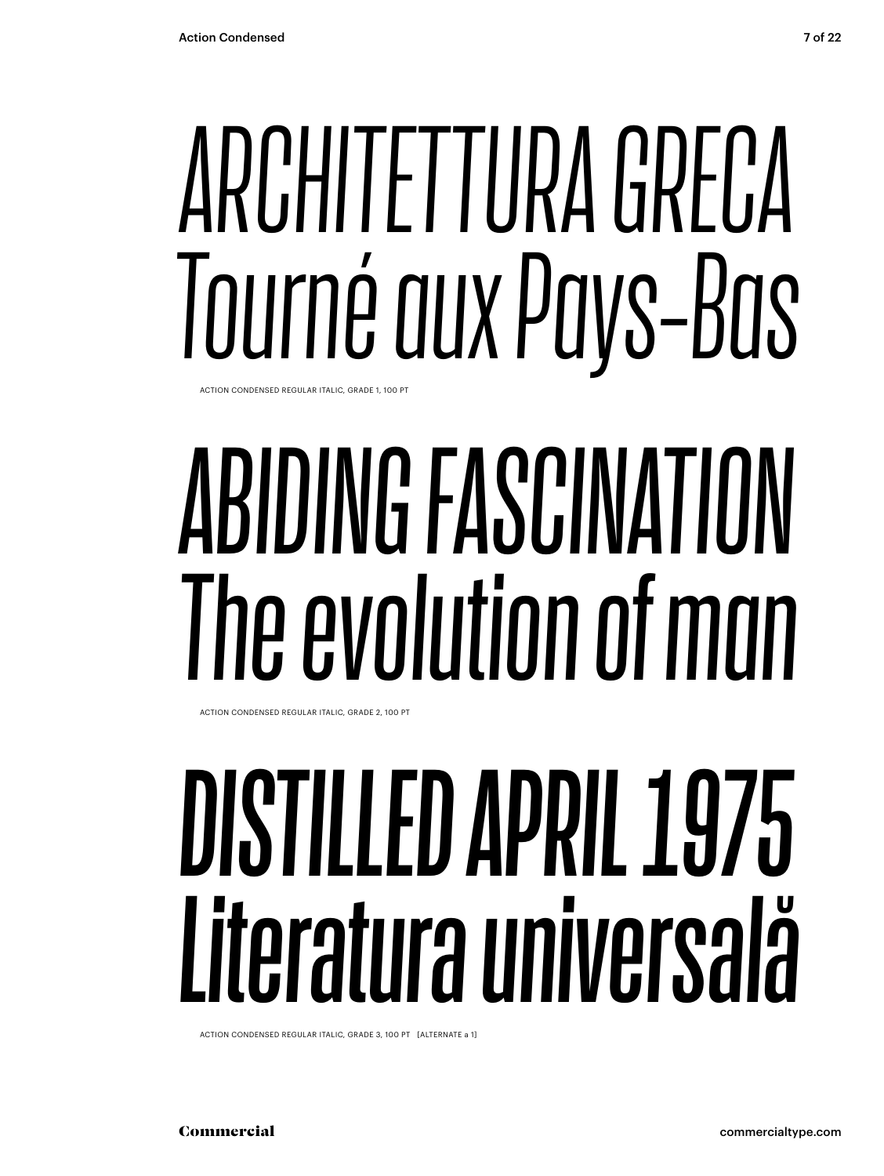# ARCHITETTURA GRECA Tourné aux Pays-Bas

ACTION CONDENSED REGULAR ITALIC GRADE 1 100 PT

# ABIDING FASCINATION The evolution of man

ACTION CONDENSED REGULAR ITALIC, GRADE 2, 100 PT

## DISTILLED APRIL 1975 Literatura universală

ACTION CONDENSED REGULAR ITALIC, GRADE 3, 100 PT [ALTERNATE a 1]

Commercial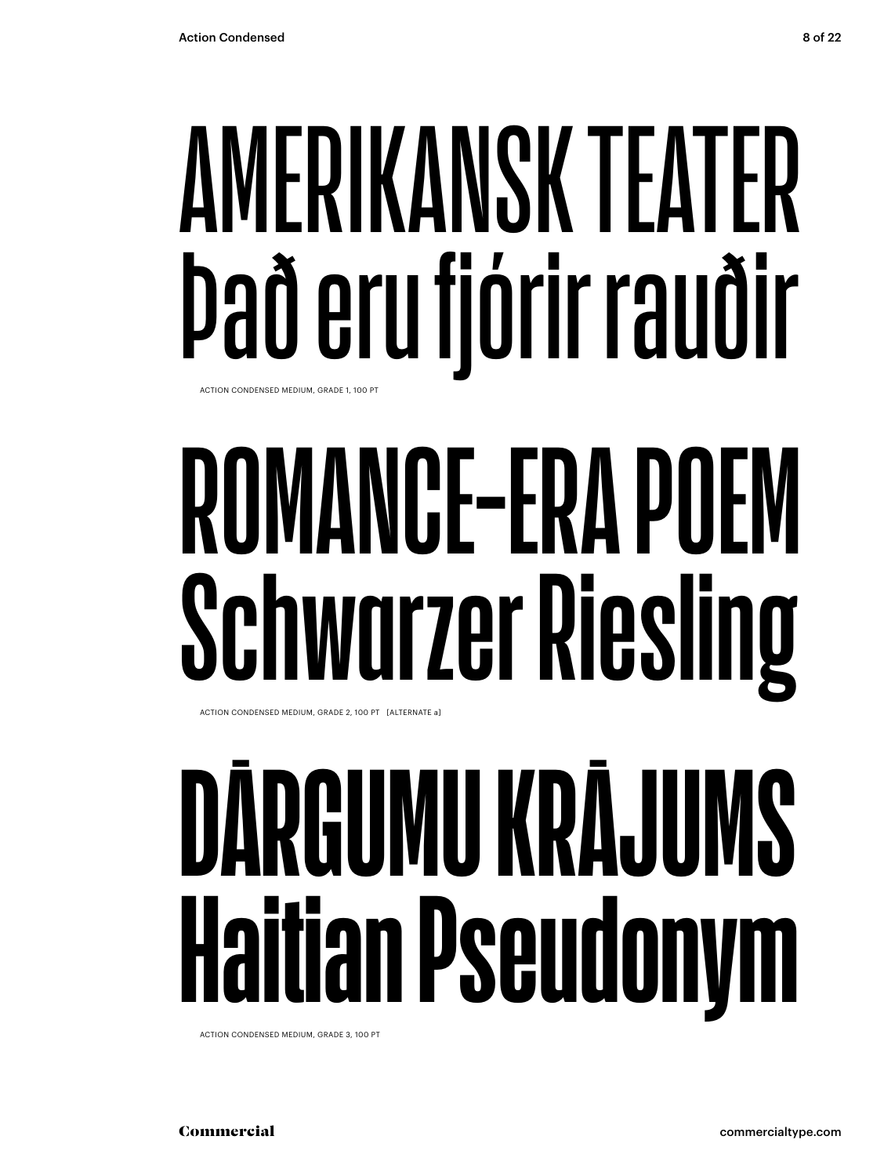## **AERIKANSK TEATER** Það eru fjórir rauðir ACTION CONDENSED MEDIUM, GRADE 1, 100 PT

# **NCE-FRA I** warzer Riesli

ACTION CONDENSED MEDIUM, GRADE 2, 100 PT [ALTERNATE a]

# RGUMU KRĀJU ian Pseudonym

ACTION CONDENSED MEDIUM, GRADE 3, 100 PT

Commercial commercialtype.com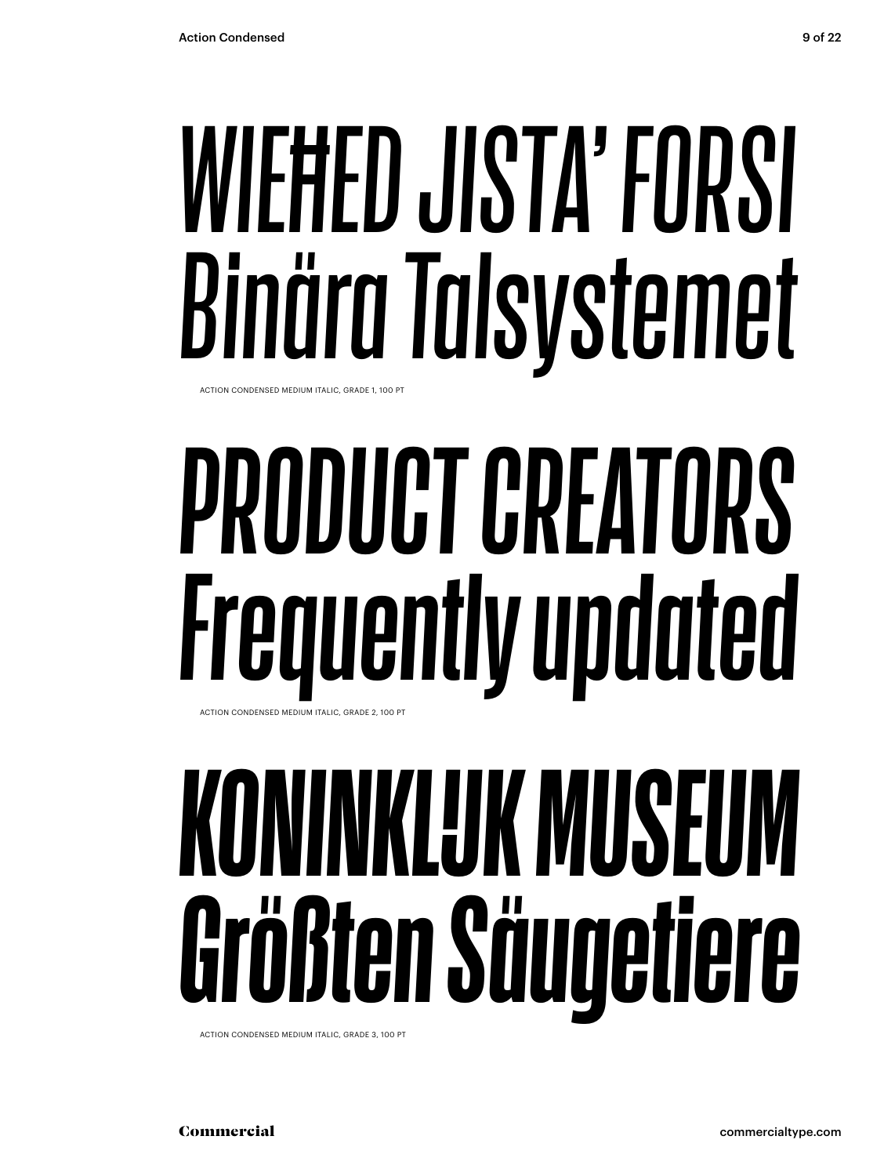### *WIEĦED JISTA' FORSI Binära Talsystemet* ACTION CONDENSED MEDIUM ITALIC, GRADE 1, 100 PT

# *PRODUCT CREATORS Frequently updated*

ACTION CONDENSED MEDIUM ITALIC, GRADE 2, 100 PT

# *KONINKLIJK MUSEUM Größten Säugetiere*

ACTION CONDENSED MEDIUM ITALIC, GRADE 3, 100 PT

Commercial commercialtype.com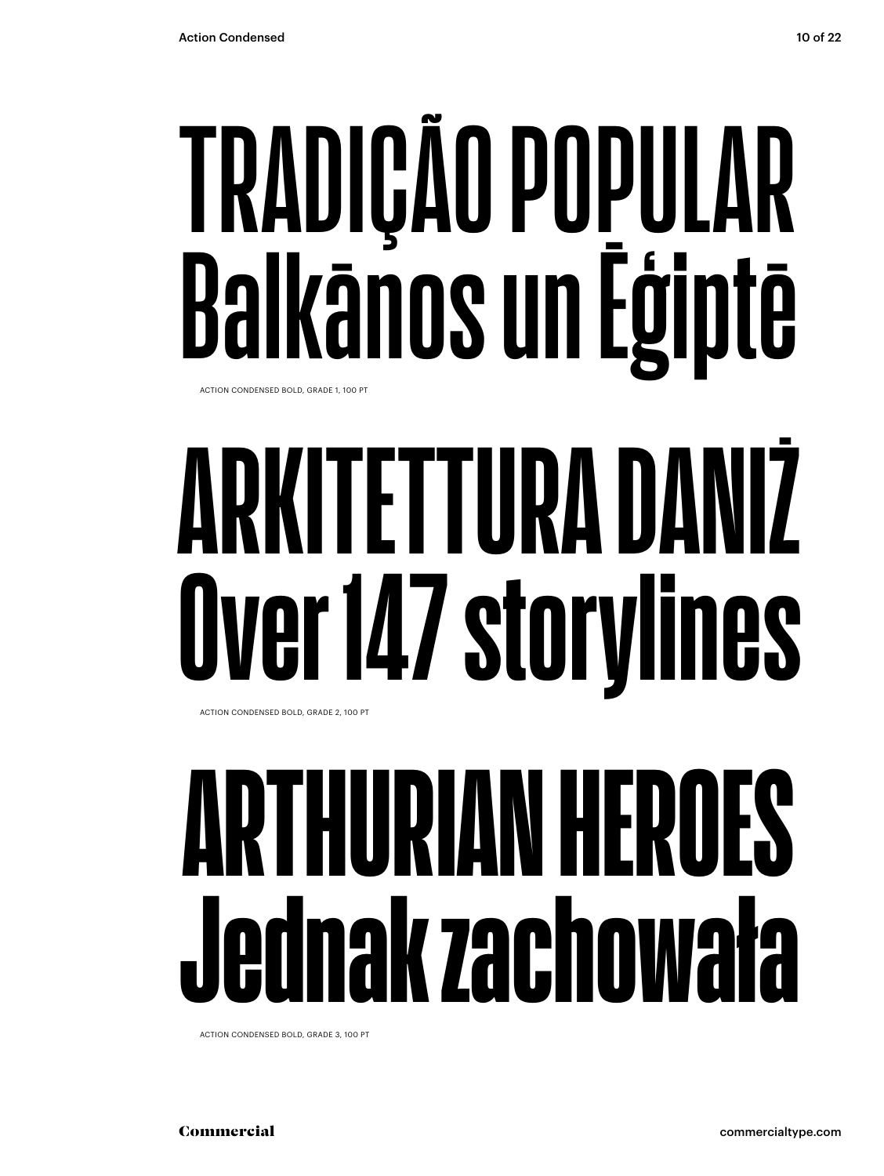## TRADIÇÃO POPULAR Ikānos un Ēģiptē ACTION CONDENSED BOLD, GRADE 1, 100 PT

# **TETTURA I** er 147 storylines

ACTION CONDENSED BOLD, GRADE 2, 100 PT

### $\blacklozenge$ HFK ak zachowała

ACTION CONDENSED BOLD, GRADE 3, 100 PT

Commercial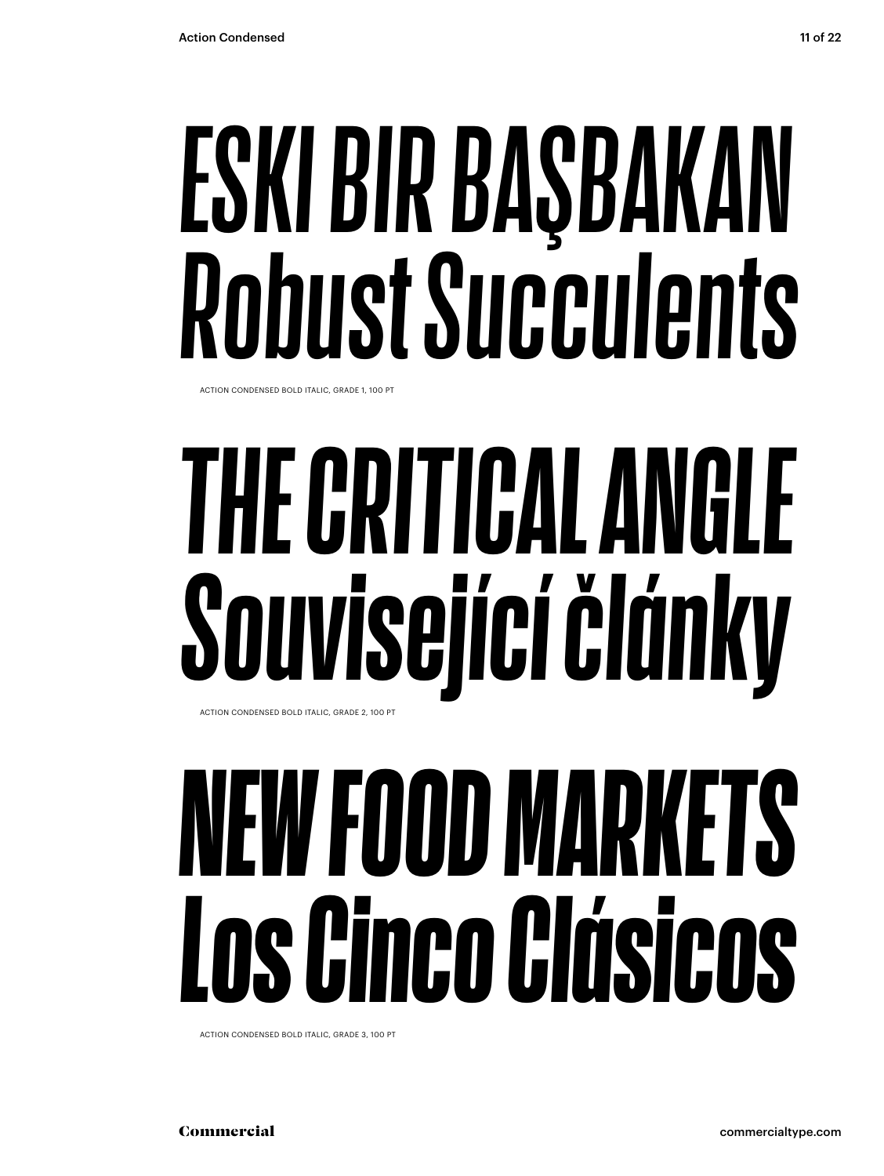# ESKI BIR BAŞBAKAN Robust Succulents

ACTION CONDENSED BOLD ITALIC GRADE 1 100 PT

# THE CRITICAL ANGLE Související články

ACTION CONDENSED BOLD ITALIC, GRADE 2, 100 PT

## NEW FOOD MARKETS Los Cinco Clásicos

ACTION CONDENSED BOLD ITALIC, GRADE 3, 100 PT

Commercial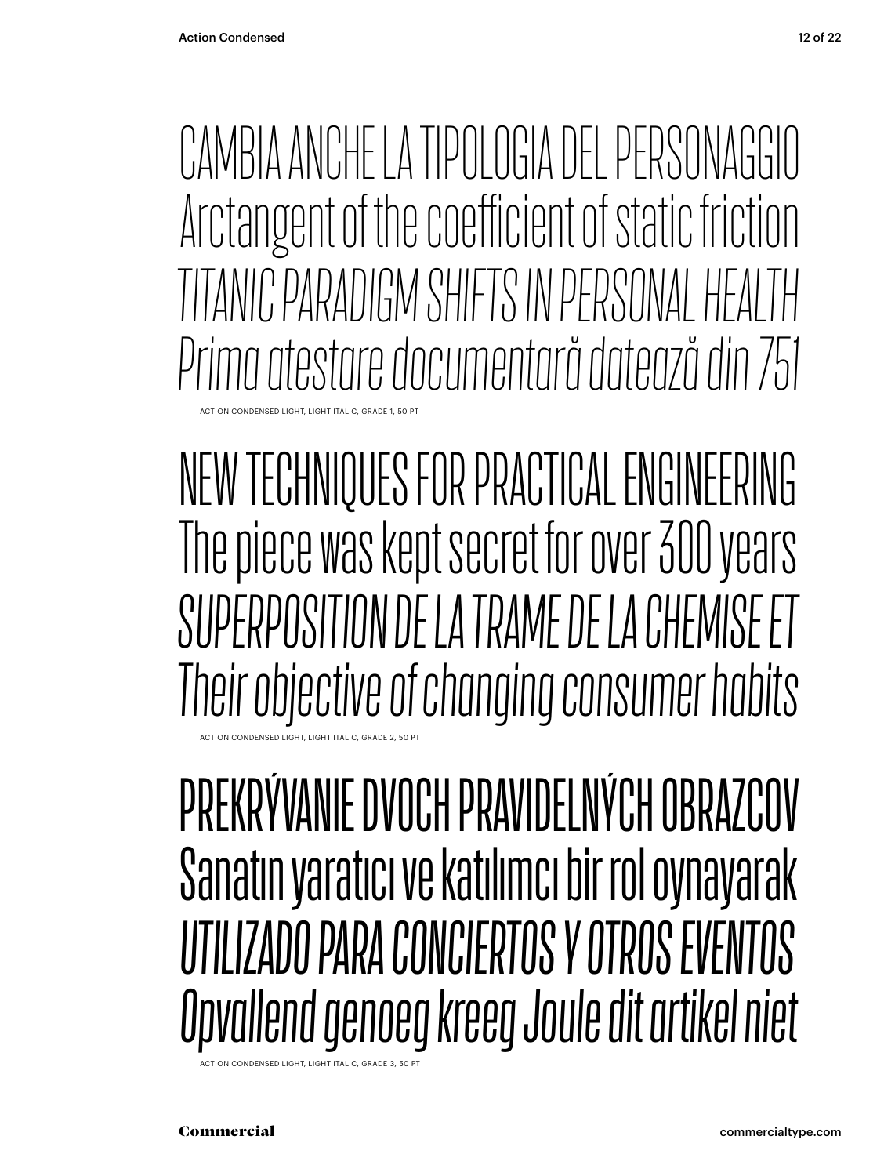CTION CONDENSED LIGHT, LIGHT ITALIC, GRADE 1, 50 CAMBIA ANCHE LA TIPOLOGIA DEL PERSONAGGIO Arctangent of the coefficient of static friction *TITANIC PARADIGM SHIFTS IN PERSONAL HEALTH Prima atestare documentară datează din 751*

NEW TECHNIQUES FOR PRACTICAL ENGINEERING The piece was kept secret for over 300 years *SUPERPOSITION DE LA TRAME DE LA CHEMISE ET Their objective of changing consumer habits*

ACTION CONDENSED LIGHT, LIGHT ITALIC, GRADE 2, 50 PT

### PREKRÝVANIE DVOCH PRAVIDELNÝCH OBRAZCOV Sanatın yaratıcı ve katılımcı bir rol oynayarak *UTILIZADO PARA CONCIERTOS Y OTROS EVENTOS Opvallend genoeg kreeg Joule dit artikel niet*

**CTION CONDENSED LIGHT, LIGHT ITALIC, GRADE 3**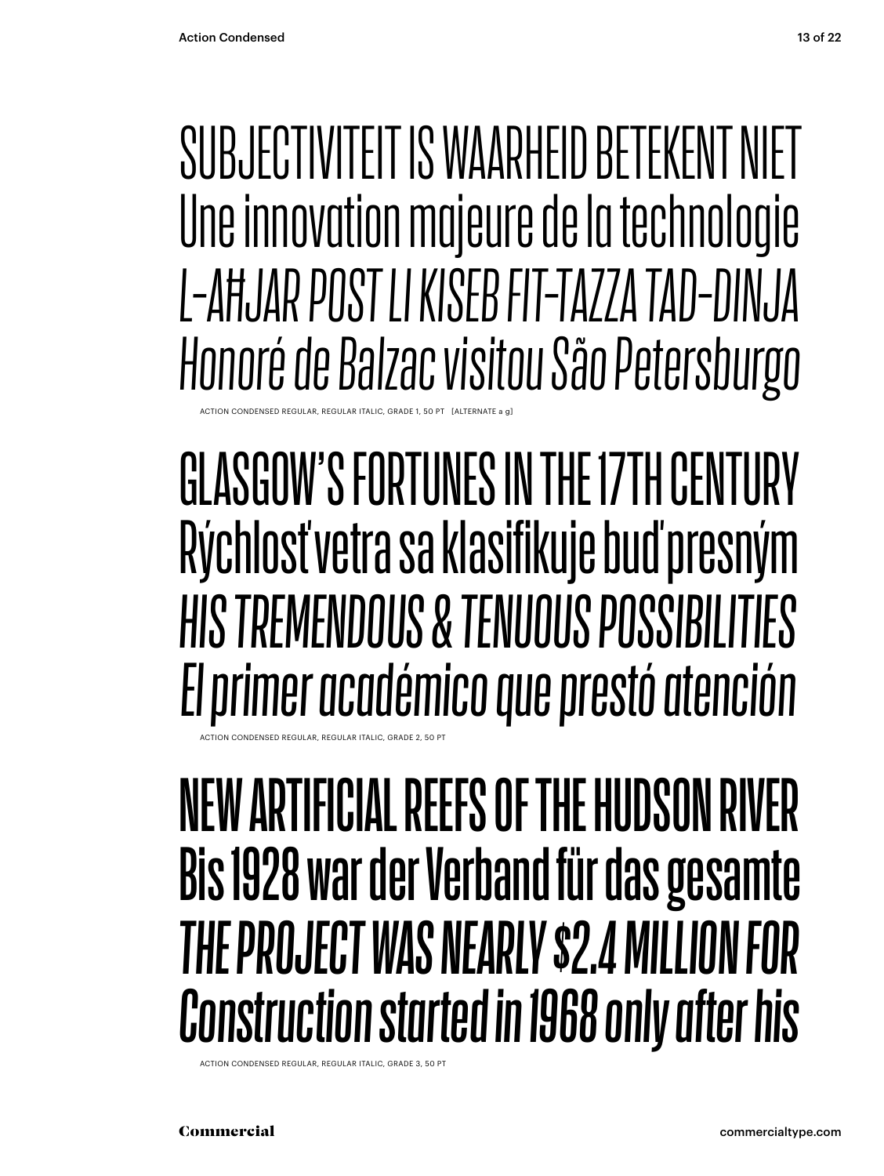### SUBJECTIVITEIT IS WAARHEID BETEKENT NIET Une innovation majeure de la technologie L-AHJAR POST LI KISEB FIT-TAZZA TAD-DINJA Honoré de Balzac visitou São Petersburgo

GLASGOW'S FORTUNES IN THE 17TH CENTURY Rýchlosť vetra sa klasifikuje buď presným HIS TREMENDOUS & TENUOUS POSSIBILITIES El primer académico que prestó atención

### NEW ARTIFICIAL REEFS OF THE HUDSON RIVER Bis 1928 war der Verband für das gesamte THE PROJECT WAS NEARLY \$2.4 MILLION FOR **Construction started in 1968 only after his**

ACTION CONDENSED REGULAR, REGULAR ITALIC, GRADE 3, 50 P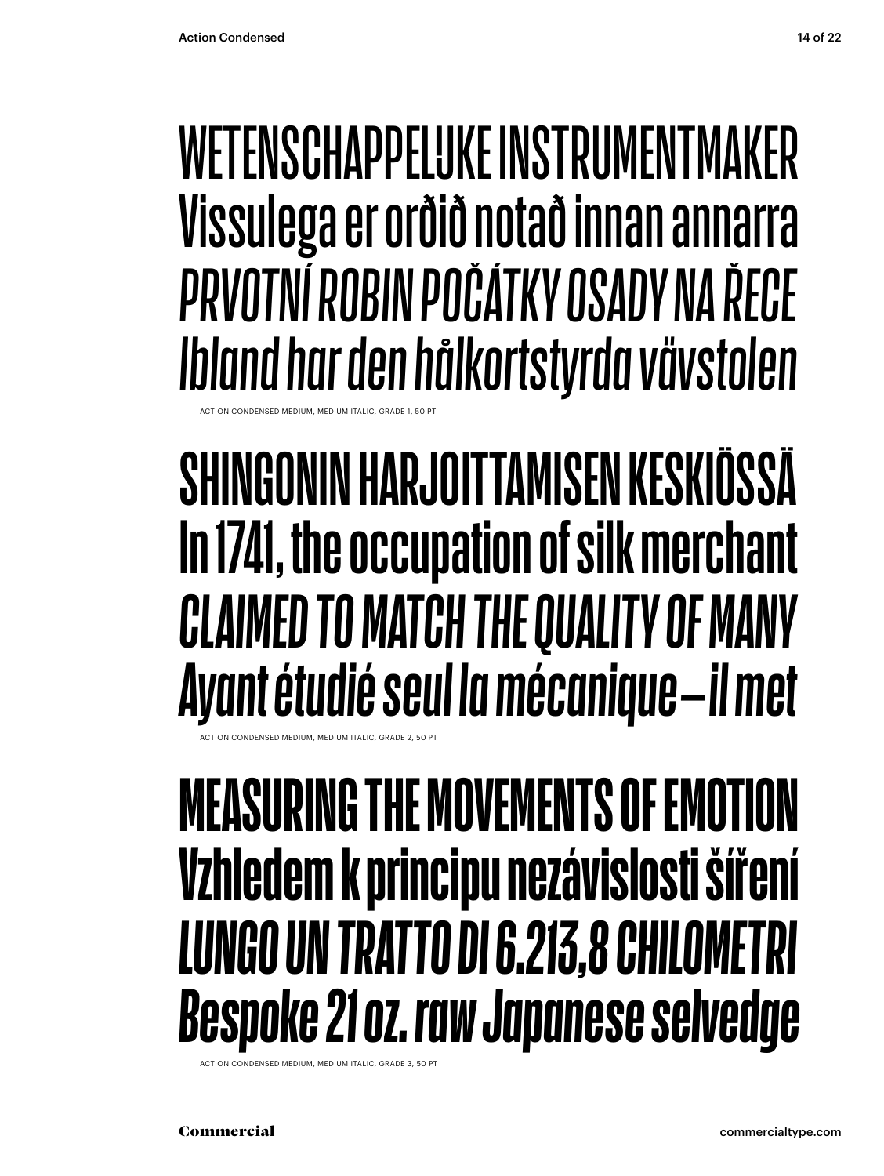### **WETENSCHAPPELUKE INSTRIIMENTMAKER** Vissulega er orðið notað innan annarra PRVOTNÍ ROBIN POČÁTKY OSADY NA ŘECE Ibland har den hålkortstyrda vävstolen

### SHINGONIN HARJOITTAMISEN KESKIÖSSÄ In 1741, the occupation of silk merchant **CLAIMED TO MATCH THE QUALITY OF MANY** Ayant étudié seul la mécanique-il met

### **MEASURING THE MOVEMENTS OF EMOTION** Vzhledem k principu nezávislosti šíření **LUNGO UN TRATTO DI 6.213,8 CHILOMETRI Bespoke 21 oz. raw Japanese selvedge**

ACTION CONDENSED MEDIUM, MEDIUM ITALIC, GRADE 3, 50 P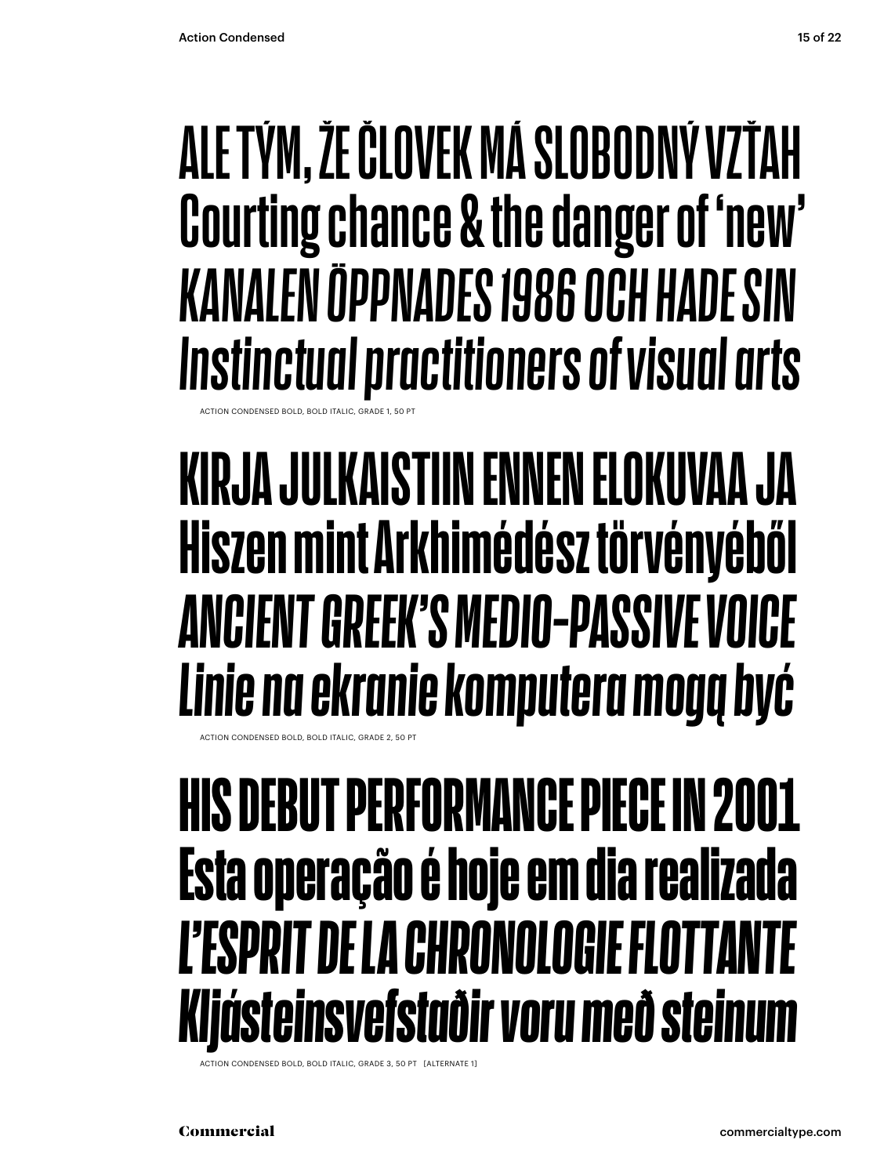### **ALE TÝM, ŽE ČLOVEK MÁ SLOBODNÝ VZŤAH Courting chance & the danger of 'new'**  *KANALEN ÖPPNADES 1986 OCH HADE SIN Instinctual practitioners of visual arts* ACTION CONDENSED BOLD, BOLD ITALIC, GRADE 1, 50 PT

### **KIRJA JULKAISTIIN ENNEN ELOKUVAA JA Hiszen mint Arkhimédész törvényéből** *ANCIENT GREEK'S MEDIO-PASSIVE VOICE Linie na ekranie komputera mogą być*

ACTION CONDENSED BOLD, BOLD ITALIC, GRADE 2, 50 PT

### **HIS DEBUT PERFORMANCE PIECE IN 2001 Esta operação é hoje em dia realizada** L'ESPRIT DE LA CHRONOLOGIE FLOTTA *Kljásteinsvefstaðir voru með steinum*

ACTION CONDENSED BOLD, BOLD ITALIC, GRADE 3, 50 PT [ALTERNATE 1]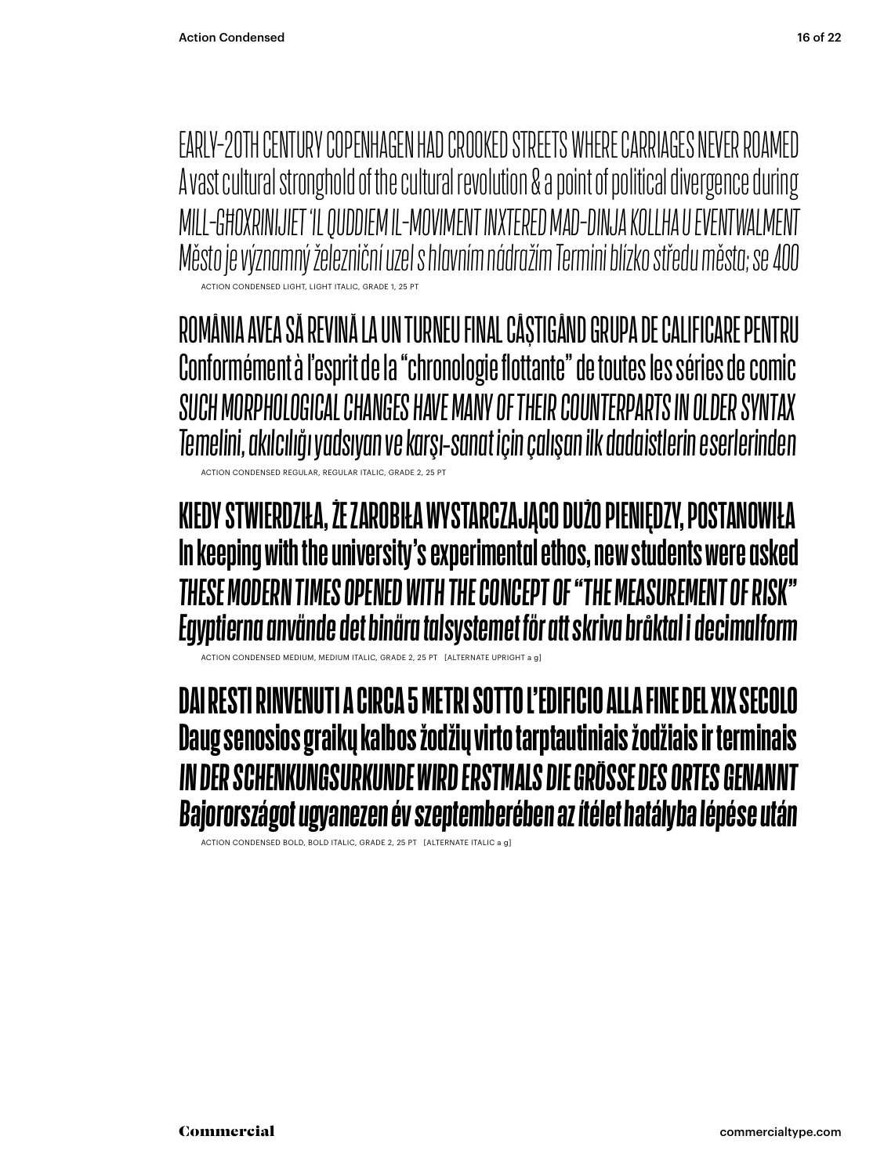EARLY-20TH CENTURY COPENHAGEN HAD CROOKED STREETS WHERE CARRIAGES NEVER ROAMED A vast cultural stronghold of the cultural revolution & a point of political divergence during MILL-GHOXRINIJIET 'IL QUDDIEM IL-MOVIMENT INXTERED MAD-DINJA KOLLHA U EVENTWALMENT Město je významný železniční uzel s hlavním nádražím Termini blízko středu města; se 400 .<br>ACTION CONDENSED LIGHT, LIGHT ITALIC, GRADE 1, 25 PT

ROMÂNIA AVEA SĂ REVINĂ LA UN TURNEU FINAL CÂȘTIGÂND GRUPA DE CALIFICARE PENTRU Conformément à l'esprit de la "chronologie flottante" de toutes les séries de comic SUCH MORPHOLOGICAL CHANGES HAVE MANY OF THEIR COUNTERPARTS IN OLDER SYNTAX Temelini, akılcılığı yadsıyan ve karşı-sanat için çalışan ilk dadaistlerin eserlerinden ACTION CONDENSED REGULAR, REGULAR ITALIC, GRADE 2, 25 PT

#### KIEDY STWIERDZIŁA, ŻE ZAROBIŁA WYSTARCZAJĄCO DUŻO PIENIĘDZY, POSTANOWIŁA In keeping with the university's experimental ethos, new students were asked THESE MODERN TIMES OPENED WITH THE CONCEPT OF "THE MEASUREMENT OF RISK" Egyptierna använde det binära talsystemet för att skriva bråktal i decimalform

ACTION CONDENSED MEDIUM, MEDIUM ITALIC, GRADE 2, 25 PT [ALTERNATE UPRIGHT a g]

DAI RESTI RINVENUTI A CIRCA 5 METRI SOTTO L'EDIFICIO ALLA FINE DEL XIX SECOLO Daug senosios graikų kalbos žodžių virto tarptautiniais žodžiais ir terminais IN DER SCHENKUNGSURKUNDE WIRD ERSTMALS DIE GRÖSSE DES ORTES GENANNT Bajorországot ugyanezen év szeptemberében az ítélet hatályba lépése után

ACTION CONDENSED BOLD, BOLD ITALIC, GRADE 2, 25 PT [ALTERNATE ITALIC a g]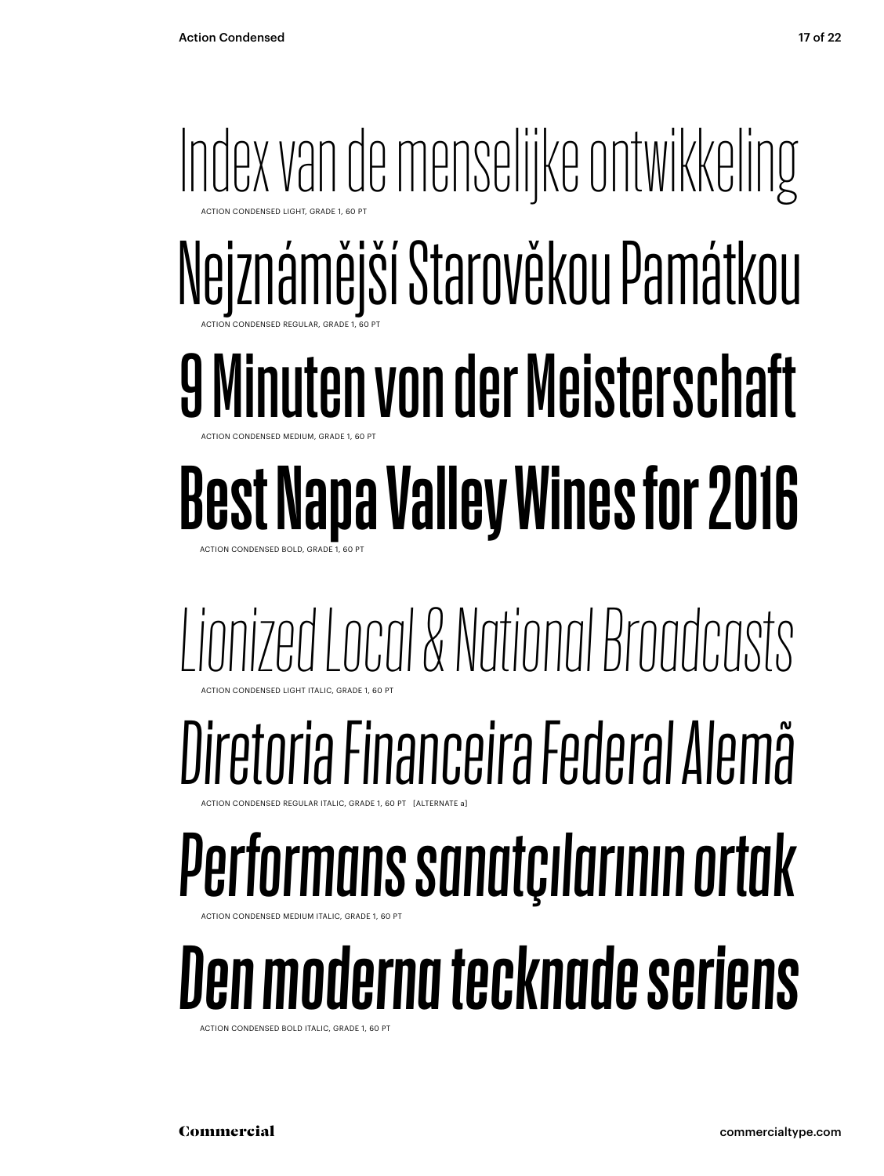### Index van de menselijke ontwikkeling Nejznámější Starověkou Památkou 9 Minuten von der Meisterschaft **Best Napa Valley Wines for 2016** ACTION CONDENSED LIGHT, GRADE 1, 60 PT ACTION CONDENSED REGULAR, GRADE 1, 60 PT ACTION CONDENSED MEDIUM, GRADE 1, 60 PT

ACTION CONDENSED BOLD, GRADE 1, 60 PT

#### *Lionized Local & National Broadcasts* ACTION CONDENSED LIGHT ITALIC, GRADE 1, 60 PT

## *Diretoria Financeira Federal Alemã*

ACTION CONDENSED REGULAR ITALIC, GRADE 1, 60 PT [ALTERNATE a]

## *Performans sanatçılarının ortak*

ACTION CONDENSED MEDIUM ITALIC, GRADE 1, 60 PT

## *Den moderna tecknade seriens*

ACTION CONDENSED BOLD ITALIC, GRADE 1, 60 PT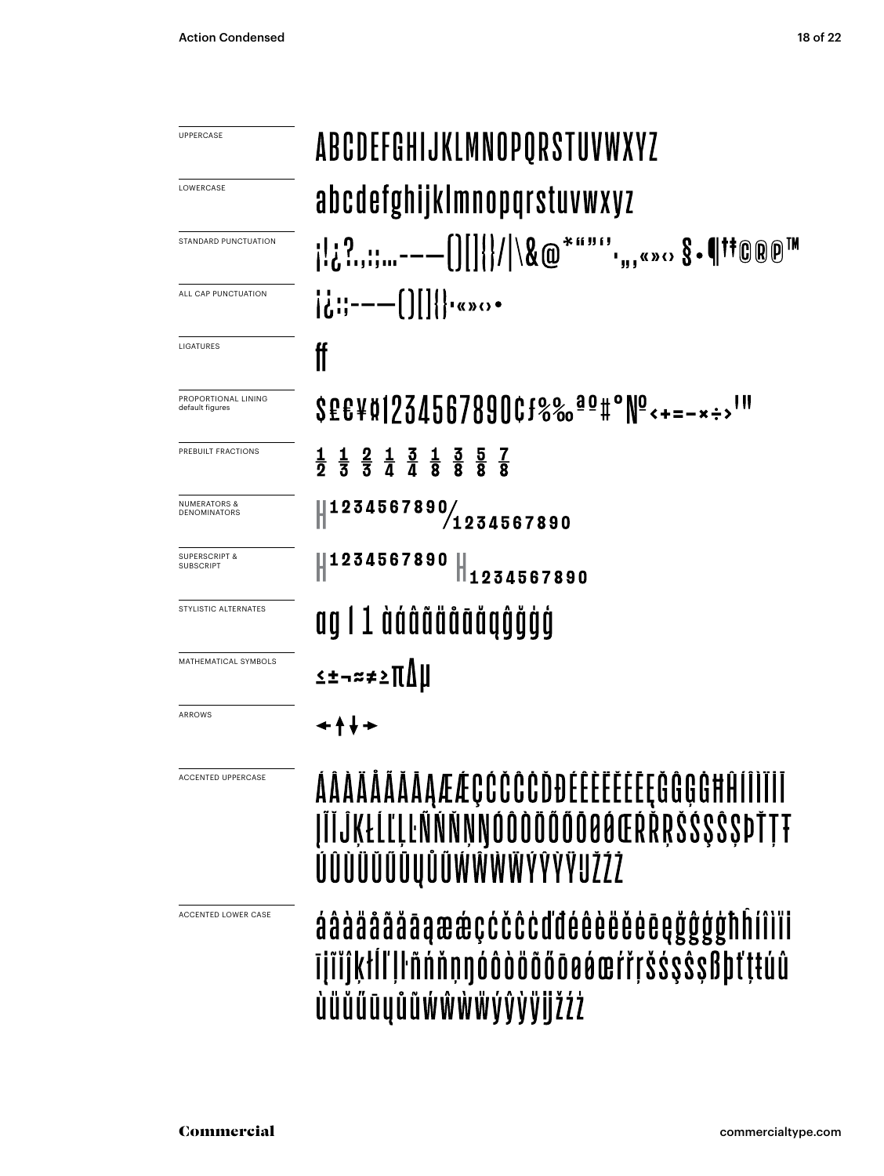| UPPERCASE                                      | ABCDEFGHIJKLMNOPQRSTUVWXYZ                                                                                                                                                                                                                        |
|------------------------------------------------|---------------------------------------------------------------------------------------------------------------------------------------------------------------------------------------------------------------------------------------------------|
| LOWERCASE                                      | abcdefghijklmnopqrstuvwxyz                                                                                                                                                                                                                        |
| STANDARD PUNCTUATION                           | ; ;?,;;;-——[][  { / \&@*""",,,«» <sub>'</sub> ः §•¶†©®®™                                                                                                                                                                                          |
| ALL CAP PUNCTUATION                            | $\left[\ddot{a}$ :: --- $\left[\right]$     $\left[\ddot{a}$ \cdots (x) \cdots (x) \cdots (x) \cdots (x) \cdots (x) \cdots (x) \cdots (x) \cdots (x) \cdots (x) \cdots (x) \cdots (x) \cdots (x) \cdots (x) \cdots (x) \cdots (x) \cdots (x) \cdo |
| LIGATURES                                      | ₩                                                                                                                                                                                                                                                 |
| PROPORTIONAL LINING<br>default figures         | SEE¥¤1234567890Cf%% <sup>ao</sup> #°Nº<+=-*÷>'"                                                                                                                                                                                                   |
| PREBUILT FRACTIONS                             | $\frac{1}{2}$ $\frac{1}{3}$ $\frac{2}{3}$ $\frac{1}{4}$ $\frac{3}{8}$ $\frac{1}{8}$ $\frac{3}{8}$ $\frac{5}{8}$ $\frac{7}{8}$                                                                                                                     |
| <b>NUMERATORS &amp;</b><br><b>DENOMINATORS</b> | 1234567890/1234567890                                                                                                                                                                                                                             |
| <b>SUPERSCRIPT &amp;</b><br>SUBSCRIPT          | <b>1234567890</b><br>1234567890                                                                                                                                                                                                                   |
| STYLISTIC ALTERNATES                           | ag I 1 àáâãääāãäqĝǧģģ                                                                                                                                                                                                                             |
| MATHEMATICAL SYMBOLS                           | ≤±¬≈≠≥∏∆µ                                                                                                                                                                                                                                         |
| ARROWS                                         | ↞↟↡↠                                                                                                                                                                                                                                              |

ACCENTED UPPERCASE

ACCENTED LOWER CASE

#### AAAAAAAAAÆÆÇĆČČČDĐEĒĒĒĒĒĒĘĞĜĢGHĤIIIIII **TITJKŁLLILINNNNNOOOOOOOOOOOERRRSSSSSDTTT** ÚÛÙŨŬŰŪŲŮŨŴŴŴŴÝŶŸŸIJŽŹŻ

áâàäååãāąææçćčĉċďđéêèëěēęğĝģģħĥíîìïi **Tilliktll II nnnnoodoogooderrsssssBbtttuu** ùüŭűūyůũẃŵẁẅýŷỳijžźż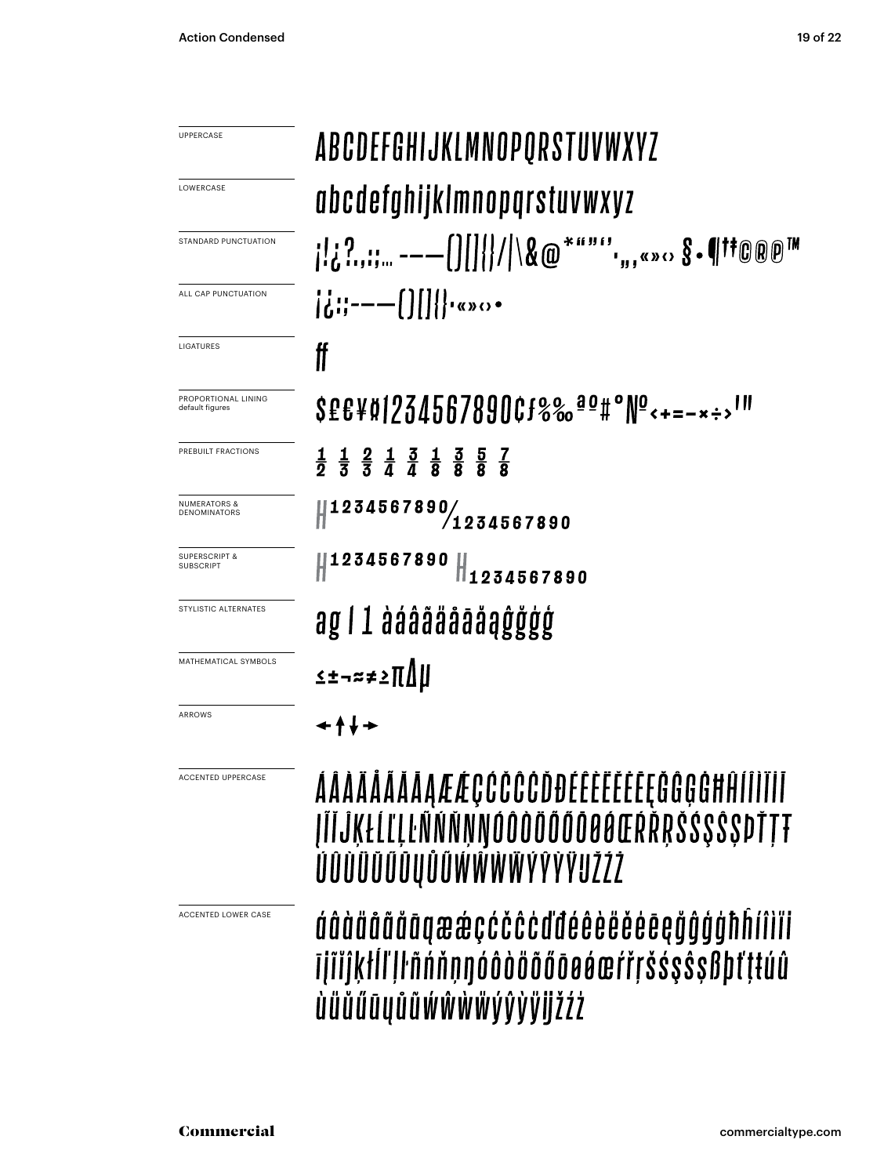| <b>UPPERCASE</b>                               | ABCDEFGHIJKLMNOPQRSTUVWXYZ                                                                                                                                                                                                                                                                                                           |
|------------------------------------------------|--------------------------------------------------------------------------------------------------------------------------------------------------------------------------------------------------------------------------------------------------------------------------------------------------------------------------------------|
| LOWERCASE                                      | abcdefghijklmnopqrstuvwxyz                                                                                                                                                                                                                                                                                                           |
| STANDARD PUNCTUATION                           | ; ;?,;;;,, ----()   {}/ \&@*""",,,«» <sub>'</sub> › §•¶††©®®™                                                                                                                                                                                                                                                                        |
| ALL CAP PUNCTUATION                            | $\left[\frac{1}{6}:\right]$ = - - $\left[\frac{1}{6}:\right]$ = - - $\left[\frac{1}{6}:\right]$ = - $\left[\frac{1}{6}:\right]$ = - $\left[\frac{1}{6}:\right]$ = - $\left[\frac{1}{6}:\right]$ = - $\left[\frac{1}{6}:\right]$ = - $\left[\frac{1}{6}:\right]$ = - $\left[\frac{1}{6}:\right]$ = - $\left[\frac{1}{6}:\right]$ = -1 |
| LIGATURES                                      | ff                                                                                                                                                                                                                                                                                                                                   |
| PROPORTIONAL LINING<br>default figures         | SEE¥Ø1234567890Cf%% <sup>ao</sup> #°Nº<+=-*÷>'"                                                                                                                                                                                                                                                                                      |
| PREBUILT FRACTIONS                             | $\frac{1}{2}$ $\frac{1}{3}$ $\frac{2}{3}$ $\frac{1}{4}$ $\frac{3}{8}$ $\frac{1}{8}$ $\frac{3}{8}$ $\frac{5}{8}$ $\frac{7}{8}$                                                                                                                                                                                                        |
| <b>NUMERATORS &amp;</b><br><b>DENOMINATORS</b> | 1234567890/1234567890                                                                                                                                                                                                                                                                                                                |
| <b>SUPERSCRIPT &amp;</b><br>SUBSCRIPT          | 1234567890<br>1234567890                                                                                                                                                                                                                                                                                                             |
| <b>STYLISTIC ALTERNATES</b>                    | ag I 1 àáâãäåāåaĝğģģ                                                                                                                                                                                                                                                                                                                 |
| MATHEMATICAL SYMBOLS                           | ≤±¬≈≠≥∏∆µ                                                                                                                                                                                                                                                                                                                            |
| ARROWS                                         |                                                                                                                                                                                                                                                                                                                                      |

#### ÁÂÀÄĂĂĂĂĄÆÆÇĆČĈĈĎĐÉÊÈËËĒĘĞĜĢĠĦĤÍÎÌĬĬĬ ĮĨĬĴĶŁĹĽĻĿÑŇŇŅŇŎŎŎŎŎŎŎŌŧĔŔŘŖŠŚŞŜŞÞŤŢŦ *ÚÛÙŨŬŨŪŲŮŨŴŴŴŴÝŶŸŸIJŽŹŻ*

áâàäããããaææçćčĉcďđéêèëěēe@ğĝģģħĥíîìïi ī į i̇̃i jkł li l | h n n n n n o o o o o o o o o o e r r s s s s s s ß d t ț t u û *ùüŭűūyůũwŵwwyŷyÿjjžźż* 

ACCENTED LOWER CASE

ACCENTED UPPERCASE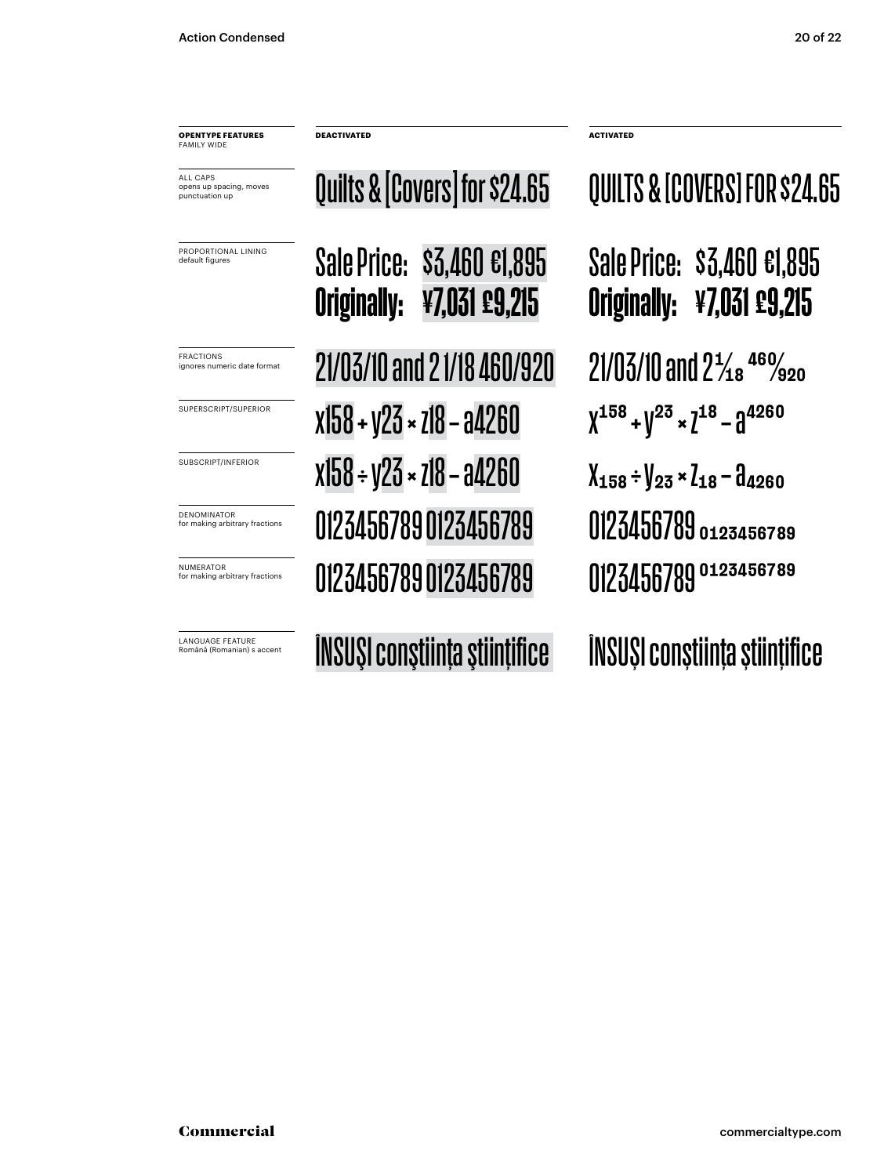**OPENTYPE FEATURES FAMILY WIDE** 

ALL CAPS opens up spacing, moves punctuation up

PROPORTIONAL LINING default figures

LANGUAGE FEATURE<br>Română (Romanian) s accent

Sale Price: \$3,460 €1,895 Originally: ¥7,031 £9,215 Quilts & [Covers] for \$24.65  $\overline{P_{\text{RACTIONS}}^{RACTIONS}}$  21/03/10 and 2 1/18 460/920 21/03/10 and 2<sup>1</sup>/18 460/920 SUPERSCRIPT/SUPERIOR  $X158 + 123 \times 718 - 94260$   $X^{158} + 12^3 \times 7^{18} - 94260$ SUBSCRIPT/INFERIOR  $x158 \div y23 \times 718 - 94260$   $x158 \div y23 \times 718 - 94260$ NUMERATOR CONTRATOR CONTRACTOR 0123456789 for making arbitrary fractions 0123456789 0123456789 DENOMINATOR **DENOMINATOR 0123456789 0123456789 0123456789** for making arbitrary fractions 0123456789 0123456789

**DEACTIVATED ACTIVATED**

Sale Price: \$3,460 €1,895 Originally: ¥7,031 £9,215 QUILTS & [COVERS] FOR \$24.65

Română (Romanian) s accent ÎNSUŞI conştiinţa ştiinţifice ÎNSUŞI conştiinţa ştiinţifice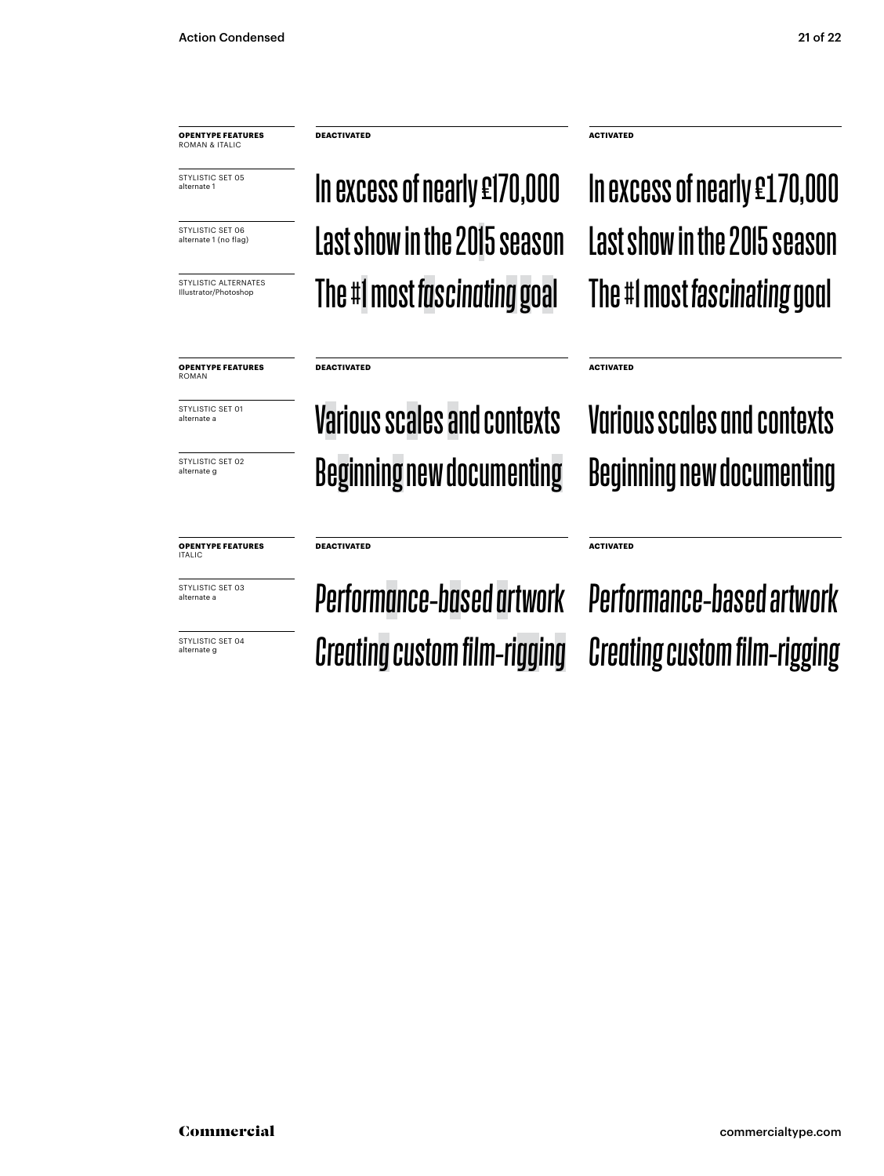**OPENTYPE FEATURES** ROMAN & ITALIC

STYLISTIC SET 05 alternate 1

STYLISTIC SET 06 alternate 1 (no flag)

Illustrator/Photoshop

Last show in the 2015 season Last show in the 2015 season In excess of nearly £170,000  $\blacksquare$  In excess of nearly £170,000 STYLISTIC ALTERNATES **The #1 most fascinating goal** The #1 most fascinating goal

**DEACTIVATED ACTIVATED**

**OPENTYPE FEATURES** ROMAN

STYLISTIC SET 01 alternate a

STYLISTIC SFT 02 alternate g

**OPENTYPE FEATURES** ITALIC

STYLISTIC SET 03 alternate a

STYLISTIC SET 04 alternate g

Various scales and contexts Various scales and contexts Beginning new documenting Beginning new documenting

**ACTIVATED**

**ACTIVATED**

#### **DEACTIVATED**

**DEACTIVATED**

*Performance-based artwork Performance-based artwork Creating custom film-rigging Creating custom film-rigging*